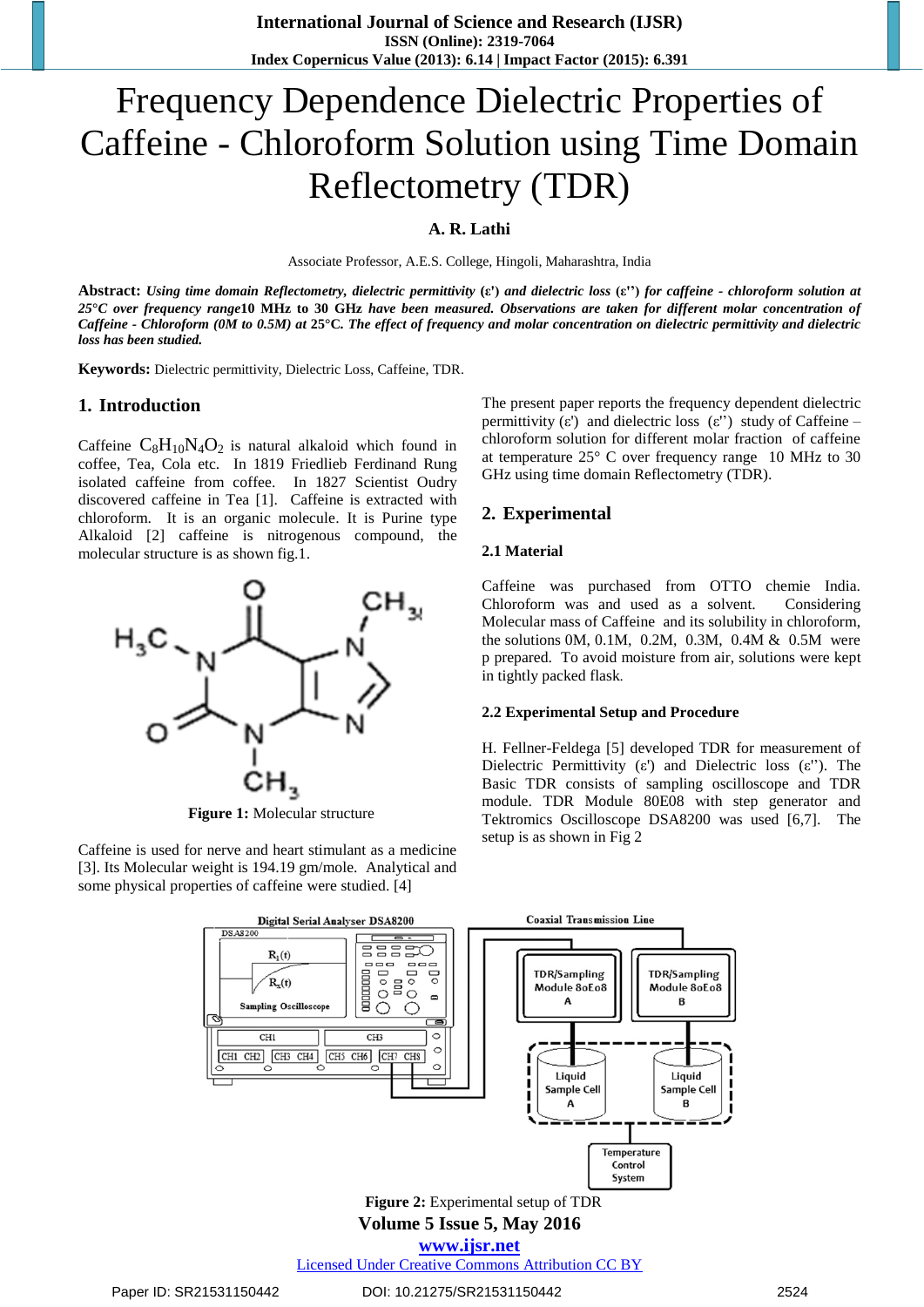# Frequency Dependence Dielectric Properties of Caffeine - Chloroform Solution using Time Domain Reflectometry (TDR)

**A. R. Lathi**

Associate Professor, A.E.S. College, Hingoli, Maharashtra, India

**Abstract:** *Using time domain Reflectometry, dielectric permittivity* **(ε')** *and dielectric loss* **(ε'')** *for caffeine - chloroform solution at 25***°***C over frequency range***10 MHz to 30 GHz** *have been measured. Observations are taken for different molar concentration of Caffeine - Chloroform (0M to 0.5M) at* **25°C***. The effect of frequency and molar concentration on dielectric permittivity and dielectric loss has been studied.*

**Keywords:** Dielectric permittivity, Dielectric Loss, Caffeine, TDR.

#### **1. Introduction**

Caffeine  $C_8H_{10}N_4O_2$  is natural alkaloid which found in coffee, Tea, Cola etc. In 1819 Friedlieb Ferdinand Rung isolated caffeine from coffee. In 1827 Scientist Oudry discovered caffeine in Tea [1]. Caffeine is extracted with chloroform. It is an organic molecule. It is Purine type Alkaloid [2] caffeine is nitrogenous compound, the molecular structure is as shown fig.1.



**Figure 1:** Molecular structure

Caffeine is used for nerve and heart stimulant as a medicine [3]. Its Molecular weight is 194.19 gm/mole. Analytical and some physical properties of caffeine were studied. [4]

The present paper reports the frequency dependent dielectric permittivity  $(\varepsilon')$  and dielectric loss  $(\varepsilon'')$  study of Caffeine – chloroform solution for different molar fraction of caffeine at temperature 25° C over frequency range 10 MHz to 30 GHz using time domain Reflectometry (TDR).

#### **2. Experimental**

#### **2.1 Material**

Caffeine was purchased from OTTO chemie India. Chloroform was and used as a solvent. Considering Molecular mass of Caffeine and its solubility in chloroform, the solutions 0M, 0.1M, 0.2M, 0.3M, 0.4M & 0.5M were p prepared. To avoid moisture from air, solutions were kept in tightly packed flask*.*

#### **2.2 Experimental Setup and Procedure**

H. Fellner-Feldega [5] developed TDR for measurement of Dielectric Permittivity (ε') and Dielectric loss (ε''). The Basic TDR consists of sampling oscilloscope and TDR module. TDR Module 80E08 with step generator and Tektromics Oscilloscope DSA8200 was used [6,7]. The setup is as shown in Fig 2



Licensed Under Creative Commons Attribution CC BY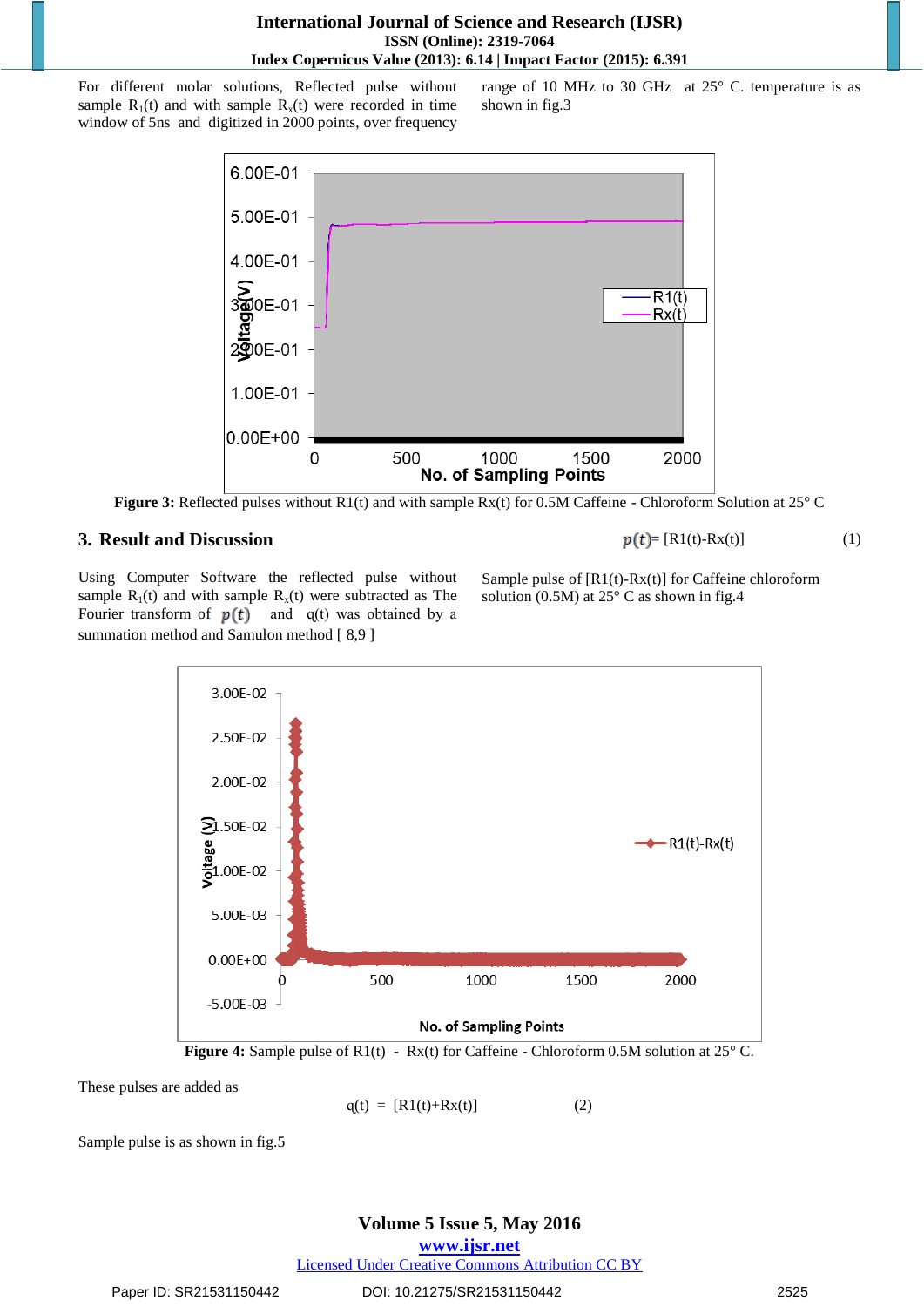### **International Journal of Science and Research (IJSR) ISSN (Online): 2319-7064 Index Copernicus Value (2013): 6.14 | Impact Factor (2015): 6.391**

For different molar solutions, Reflected pulse without sample  $R_1(t)$  and with sample  $R_x(t)$  were recorded in time window of 5ns and digitized in 2000 points, over frequency

range of 10 MHz to 30 GHzat 25° C. temperature is as shown in fig.3



**Figure 3:** Reflected pulses without R1(t) and with sample Rx(t) for 0.5M Caffeine - Chloroform Solution at 25° C

# **3. Result and Discussion**

 $p(t) = [R1(t)-Rx(t)]$  (1)

Using Computer Software the reflected pulse without sample  $R_1(t)$  and with sample  $R_x(t)$  were subtracted as The Fourier transform of  $p(t)$  and  $q(t)$  was obtained by a summation method and Samulon method [ 8,9 ]

Sample pulse of [R1(t)-Rx(t)] for Caffeine chloroform solution (0.5M) at  $25^{\circ}$  C as shown in fig.4



**Figure 4:** Sample pulse of R1(t) - Rx(t) for Caffeine - Chloroform 0.5M solution at 25° C.

These pulses are added as

 $q(t) = [R1(t)+Rx(t)]$  (2)

Sample pulse is as shown in fig.5

### **Volume 5 Issue 5, May 2016 www.ijsr.net** Licensed Under Creative Commons Attribution CC BY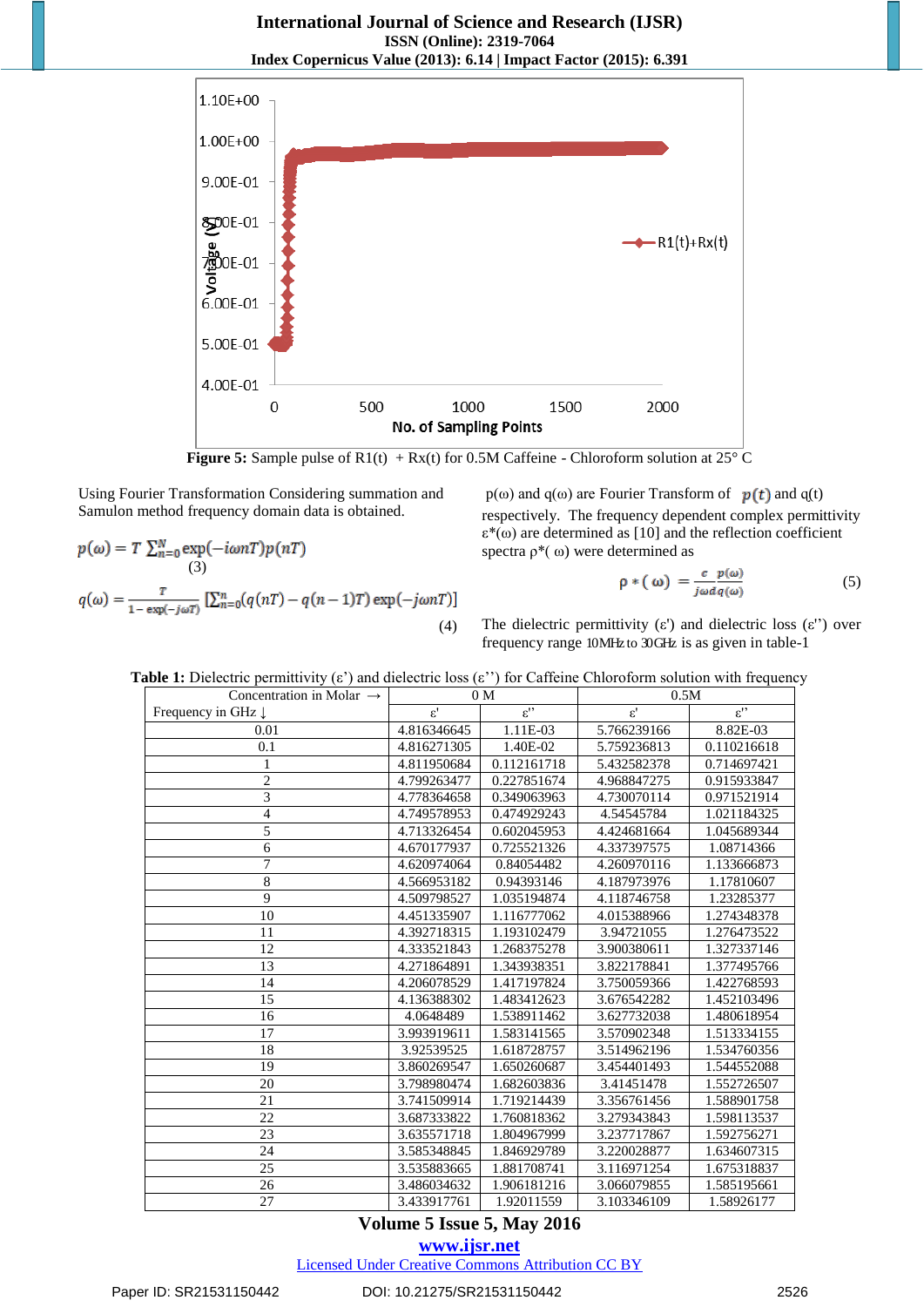**International Journal of Science and Research (IJSR) ISSN (Online): 2319-7064 Index Copernicus Value (2013): 6.14 | Impact Factor (2015): 6.391**



**Figure 5:** Sample pulse of  $R1(t) + Rx(t)$  for 0.5M Caffeine - Chloroform solution at 25° C

Using Fourier Transformation Considering summation and Samulon method frequency domain data is obtained.

$$
p(\omega) = T \sum_{n=0}^{N} \exp(-i\omega n) p(n)
$$
  
(3)  

$$
q(\omega) = \frac{\tau}{1 - \exp(-j\omega)}
$$
 [ $\sum_{n=0}^{N} (q(n) - q(n-1)) \exp(-j\omega n)$ ]  
(4)

 $p(\omega)$  and  $q(\omega)$  are Fourier Transform of  $p(t)$  and  $q(t)$ respectively. The frequency dependent complex permittivity ε\*(ω) are determined as [10] and the reflection coefficient spectra ρ\*( ω) were determined as

$$
\rho * (\omega) = \frac{c}{j\omega d q(\omega)} \tag{5}
$$

The dielectric permittivity  $(\varepsilon')$  and dielectric loss  $(\varepsilon'')$  over frequency range 10MHz to 30 GHz is as given in table-1

| Concentration in Molar $\rightarrow$ | 0 <sub>M</sub>  |                 | 0.5M            |                 |
|--------------------------------------|-----------------|-----------------|-----------------|-----------------|
| Frequency in GHz $\downarrow$        | $\varepsilon$ ' | $\varepsilon$ " | $\varepsilon$ ' | $\varepsilon$ " |
| 0.01                                 | 4.816346645     | 1.11E-03        | 5.766239166     | 8.82E-03        |
| 0.1                                  | 4.816271305     | 1.40E-02        | 5.759236813     | 0.110216618     |
| $\mathbf{1}$                         | 4.811950684     | 0.112161718     | 5.432582378     | 0.714697421     |
| $\overline{2}$                       | 4.799263477     | 0.227851674     | 4.968847275     | 0.915933847     |
| 3                                    | 4.778364658     | 0.349063963     | 4.730070114     | 0.971521914     |
| $\overline{4}$                       | 4.749578953     | 0.474929243     | 4.54545784      | 1.021184325     |
| 5                                    | 4.713326454     | 0.602045953     | 4.424681664     | 1.045689344     |
| 6                                    | 4.670177937     | 0.725521326     | 4.337397575     | 1.08714366      |
| $\overline{7}$                       | 4.620974064     | 0.84054482      | 4.260970116     | 1.133666873     |
| 8                                    | 4.566953182     | 0.94393146      | 4.187973976     | 1.17810607      |
| 9                                    | 4.509798527     | 1.035194874     | 4.118746758     | 1.23285377      |
| 10                                   | 4.451335907     | 1.116777062     | 4.015388966     | 1.274348378     |
| 11                                   | 4.392718315     | 1.193102479     | 3.94721055      | 1.276473522     |
| 12                                   | 4.333521843     | 1.268375278     | 3.900380611     | 1.327337146     |
| 13                                   | 4.271864891     | 1.343938351     | 3.822178841     | 1.377495766     |
| 14                                   | 4.206078529     | 1.417197824     | 3.750059366     | 1.422768593     |
| 15                                   | 4.136388302     | 1.483412623     | 3.676542282     | 1.452103496     |
| 16                                   | 4.0648489       | 1.538911462     | 3.627732038     | 1.480618954     |
| 17                                   | 3.993919611     | 1.583141565     | 3.570902348     | 1.513334155     |
| 18                                   | 3.92539525      | 1.618728757     | 3.514962196     | 1.534760356     |
| 19                                   | 3.860269547     | 1.650260687     | 3.454401493     | 1.544552088     |
| 20                                   | 3.798980474     | 1.682603836     | 3.41451478      | 1.552726507     |
| 21                                   | 3.741509914     | 1.719214439     | 3.356761456     | 1.588901758     |
| 22                                   | 3.687333822     | 1.760818362     | 3.279343843     | 1.598113537     |
| 23                                   | 3.635571718     | 1.804967999     | 3.237717867     | 1.592756271     |
| 24                                   | 3.585348845     | 1.846929789     | 3.220028877     | 1.634607315     |
| 25                                   | 3.535883665     | 1.881708741     | 3.116971254     | 1.675318837     |
| 26                                   | 3.486034632     | 1.906181216     | 3.066079855     | 1.585195661     |
| 27                                   | 3.433917761     | 1.92011559      | 3.103346109     | 1.58926177      |

**Table 1:** Dielectric permittivity (ε') and dielectric loss (ε'') for Caffeine Chloroform solution with frequency

# **Volume 5 Issue 5, May 2016**

**www.ijsr.net**

Licensed Under Creative Commons Attribution CC BY